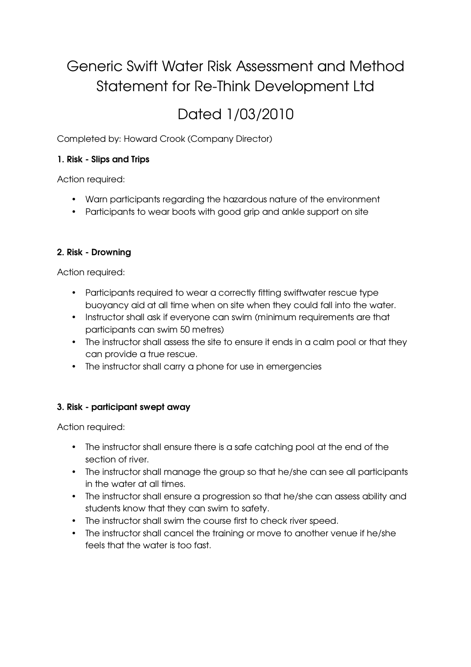# Generic Swift Water Risk Assessment and Method Statement for Re-Think Development Ltd

# Dated 1/03/2010

Completed by: Howard Crook (Company Director)

# 1. Risk - Slips and Trips

Action required:

- Warn participants regarding the hazardous nature of the environment
- Participants to wear boots with good grip and ankle support on site

# 2. Risk - Drowning

Action required:

- Participants required to wear a correctly fitting swiftwater rescue type buoyancy aid at all time when on site when they could fall into the water.
- Instructor shall ask if everyone can swim (minimum requirements are that participants can swim 50 metres)
- The instructor shall assess the site to ensure it ends in a calm pool or that they can provide a true rescue.
- The instructor shall carry a phone for use in emergencies

# 3. Risk - participant swept away

Action required:

- The instructor shall ensure there is a safe catching pool at the end of the section of river.
- The instructor shall manage the group so that he/she can see all participants in the water at all times.
- The instructor shall ensure a progression so that he/she can assess ability and students know that they can swim to safety.
- The instructor shall swim the course first to check river speed.
- The instructor shall cancel the training or move to another venue if he/she feels that the water is too fast.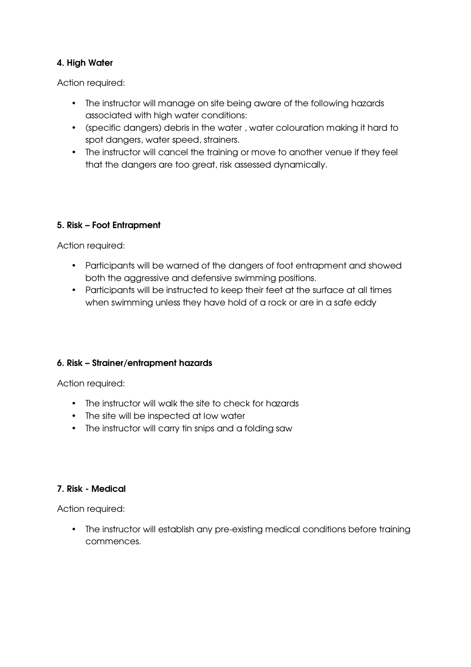# 4. High Water

Action required:

- The instructor will manage on site being aware of the following hazards associated with high water conditions:
- (specific dangers) debris in the water , water colouration making it hard to spot dangers, water speed, strainers.
- The instructor will cancel the training or move to another venue if they feel that the dangers are too great, risk assessed dynamically.

## 5. Risk – Foot Entrapment

Action required:

- Participants will be warned of the dangers of foot entrapment and showed both the aggressive and defensive swimming positions.
- Participants will be instructed to keep their feet at the surface at all times when swimming unless they have hold of a rock or are in a safe eddy

## 6. Risk – Strainer/entrapment hazards

Action required:

- The instructor will walk the site to check for hazards
- The site will be inspected at low water
- The instructor will carry tin snips and a folding saw

## 7. Risk - Medical

Action required:

• The instructor will establish any pre-existing medical conditions before training commences.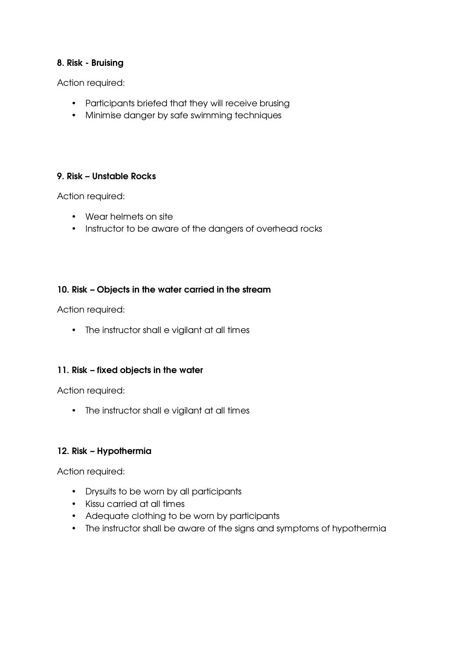### 8. Risk - Bruising

Action required:

- Participants briefed that they will receive brusing
- Minimise danger by safe swimming techniques

#### 9. Risk – Unstable Rocks

Action required:

- Wear helmets on site
- Instructor to be aware of the dangers of overhead rocks

#### 10. Risk – Objects in the water carried in the stream

Action required:

• The instructor shall e vigilant at all times

## 11. Risk – fixed objects in the water

Action required:

• The instructor shall e vigilant at all times

#### 12. Risk – Hypothermia

Action required:

- Drysuits to be worn by all participants
- Kissu carried at all times
- Adequate clothing to be worn by participants
- The instructor shall be aware of the signs and symptoms of hypothermia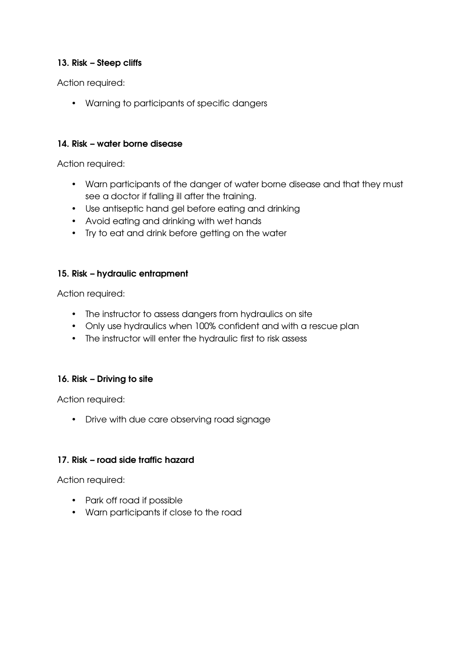## 13. Risk – Steep cliffs

Action required:

• Warning to participants of specific dangers

## 14. Risk – water borne disease

Action required:

- Warn participants of the danger of water borne disease and that they must see a doctor if falling ill after the training.
- Use antiseptic hand gel before eating and drinking
- Avoid eating and drinking with wet hands
- Try to eat and drink before getting on the water

## 15. Risk – hydraulic entrapment

Action required:

- The instructor to assess dangers from hydraulics on site
- Only use hydraulics when 100% confident and with a rescue plan
- The instructor will enter the hydraulic first to risk assess

# 16. Risk – Driving to site

Action required:

• Drive with due care observing road signage

## 17. Risk – road side traffic hazard

Action required:

- Park off road if possible
- Warn participants if close to the road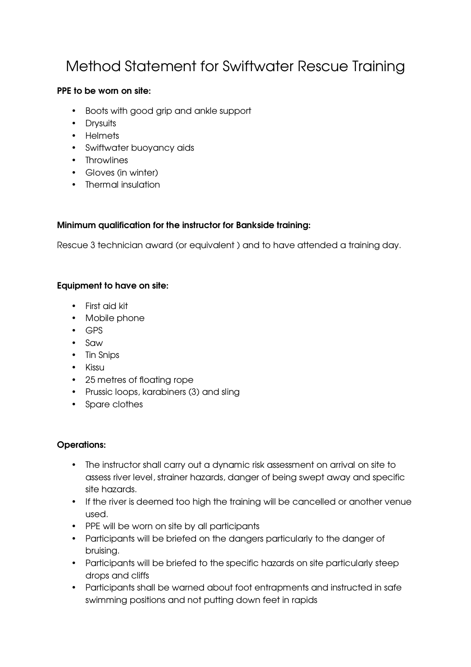# Method Statement for Swiftwater Rescue Training

# PPE to be worn on site:

- Boots with good grip and ankle support
- Drysuits
- Helmets
- Swiftwater buoyancy aids
- Throwlines
- Gloves (in winter)
- Thermal insulation

# Minimum qualification for the instructor for Bankside training:

Rescue 3 technician award (or equivalent ) and to have attended a training day.

# Equipment to have on site:

- First aid kit
- Mobile phone
- GPS
- Saw
- Tin Snips
- Kissu
- 25 metres of floating rope
- Prussic loops, karabiners (3) and sling
- Spare clothes

## Operations:

- The instructor shall carry out a dynamic risk assessment on arrival on site to assess river level, strainer hazards, danger of being swept away and specific site hazards.
- If the river is deemed too high the training will be cancelled or another venue used.
- PPE will be worn on site by all participants
- Participants will be briefed on the dangers particularly to the danger of bruising.
- Participants will be briefed to the specific hazards on site particularly steep drops and cliffs
- Participants shall be warned about foot entrapments and instructed in safe swimming positions and not putting down feet in rapids